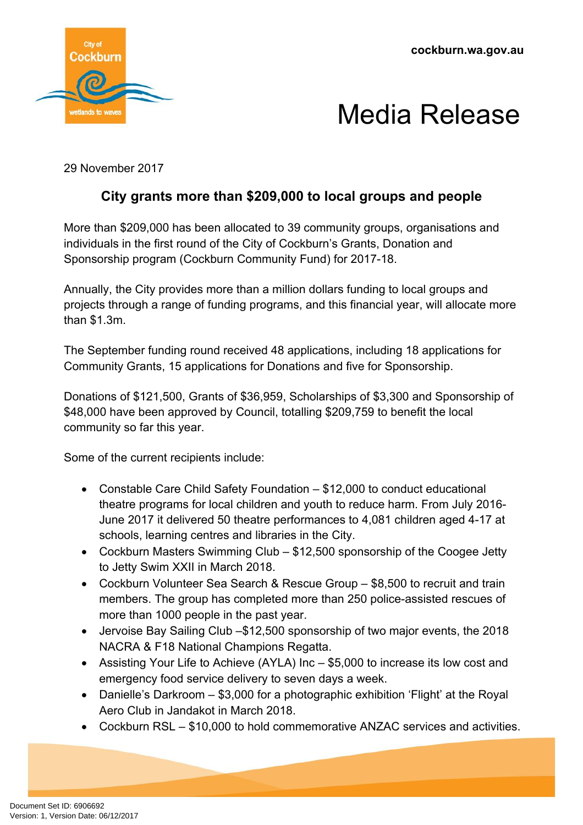**cockburn.wa.gov.au**





29 November 2017

## **City grants more than \$209,000 to local groups and people**

More than \$209,000 has been allocated to 39 community groups, organisations and individuals in the first round of the City of Cockburn's Grants, Donation and Sponsorship program (Cockburn Community Fund) for 2017-18.

Annually, the City provides more than a million dollars funding to local groups and projects through a range of funding programs, and this financial year, will allocate more than \$1.3m.

The September funding round received 48 applications, including 18 applications for Community Grants, 15 applications for Donations and five for Sponsorship.

Donations of \$121,500, Grants of \$36,959, Scholarships of \$3,300 and Sponsorship of \$48,000 have been approved by Council, totalling \$209,759 to benefit the local community so far this year.

Some of the current recipients include:

- Constable Care Child Safety Foundation \$12,000 to conduct educational theatre programs for local children and youth to reduce harm. From July 2016- June 2017 it delivered 50 theatre performances to 4,081 children aged 4-17 at schools, learning centres and libraries in the City.
- Cockburn Masters Swimming Club \$12,500 sponsorship of the Coogee Jetty to Jetty Swim XXII in March 2018.
- Cockburn Volunteer Sea Search & Rescue Group \$8,500 to recruit and train members. The group has completed more than 250 police-assisted rescues of more than 1000 people in the past year.
- Jervoise Bay Sailing Club –\$12,500 sponsorship of two major events, the 2018 NACRA & F18 National Champions Regatta.
- Assisting Your Life to Achieve (AYLA) Inc \$5,000 to increase its low cost and emergency food service delivery to seven days a week.
- Danielle's Darkroom \$3,000 for a photographic exhibition 'Flight' at the Royal Aero Club in Jandakot in March 2018.
- Cockburn RSL \$10,000 to hold commemorative ANZAC services and activities.